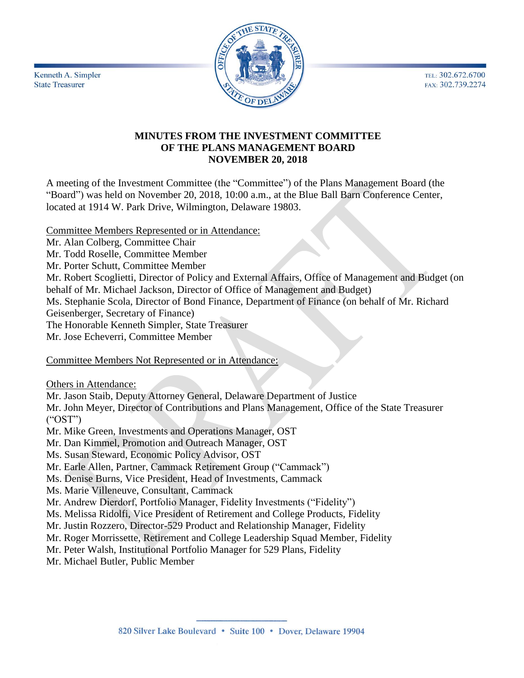TEL: 302.672.6700 FAX: 302.739.2274



# **MINUTES FROM THE INVESTMENT COMMITTEE OF THE PLANS MANAGEMENT BOARD NOVEMBER 20, 2018**

A meeting of the Investment Committee (the "Committee") of the Plans Management Board (the "Board") was held on November 20, 2018, 10:00 a.m., at the Blue Ball Barn Conference Center, located at 1914 W. Park Drive, Wilmington, Delaware 19803.

Committee Members Represented or in Attendance:

Mr. Alan Colberg, Committee Chair

Mr. Todd Roselle, Committee Member

Mr. Porter Schutt, Committee Member

Mr. Robert Scoglietti, Director of Policy and External Affairs, Office of Management and Budget (on behalf of Mr. Michael Jackson, Director of Office of Management and Budget)

Ms. Stephanie Scola, Director of Bond Finance, Department of Finance (on behalf of Mr. Richard

Geisenberger, Secretary of Finance)

The Honorable Kenneth Simpler, State Treasurer

Mr. Jose Echeverri, Committee Member

Committee Members Not Represented or in Attendance:

Others in Attendance:

Kenneth A. Simpler

**State Treasurer** 

Mr. Jason Staib, Deputy Attorney General, Delaware Department of Justice

Mr. John Meyer, Director of Contributions and Plans Management, Office of the State Treasurer ("OST")

Mr. Mike Green, Investments and Operations Manager, OST

Mr. Dan Kimmel, Promotion and Outreach Manager, OST

Ms. Susan Steward, Economic Policy Advisor, OST

Mr. Earle Allen, Partner, Cammack Retirement Group ("Cammack")

Ms. Denise Burns, Vice President, Head of Investments, Cammack

Ms. Marie Villeneuve, Consultant, Cammack

Mr. Andrew Dierdorf, Portfolio Manager, Fidelity Investments ("Fidelity")

Ms. Melissa Ridolfi, Vice President of Retirement and College Products, Fidelity

Mr. Justin Rozzero, Director-529 Product and Relationship Manager, Fidelity

Mr. Roger Morrissette, Retirement and College Leadership Squad Member, Fidelity

Mr. Peter Walsh, Institutional Portfolio Manager for 529 Plans, Fidelity

Mr. Michael Butler, Public Member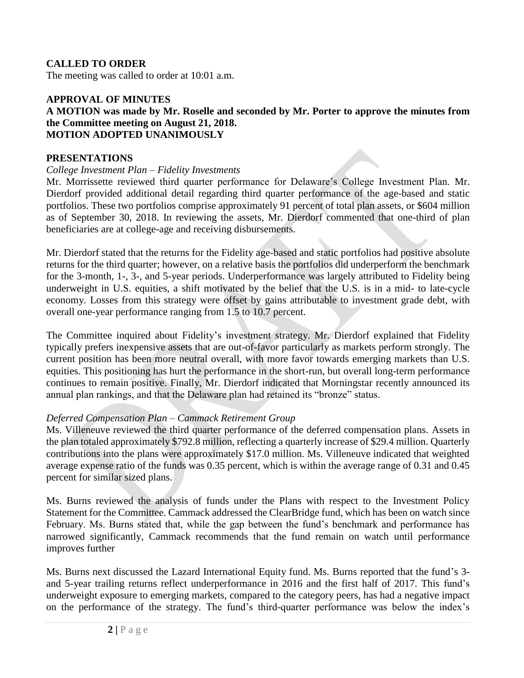# **CALLED TO ORDER**

The meeting was called to order at 10:01 a.m.

### **APPROVAL OF MINUTES A MOTION was made by Mr. Roselle and seconded by Mr. Porter to approve the minutes from the Committee meeting on August 21, 2018. MOTION ADOPTED UNANIMOUSLY**

### **PRESENTATIONS**

#### *College Investment Plan – Fidelity Investments*

Mr. Morrissette reviewed third quarter performance for Delaware's College Investment Plan. Mr. Dierdorf provided additional detail regarding third quarter performance of the age-based and static portfolios. These two portfolios comprise approximately 91 percent of total plan assets, or \$604 million as of September 30, 2018. In reviewing the assets, Mr. Dierdorf commented that one-third of plan beneficiaries are at college-age and receiving disbursements.

Mr. Dierdorf stated that the returns for the Fidelity age-based and static portfolios had positive absolute returns for the third quarter; however, on a relative basis the portfolios did underperform the benchmark for the 3-month, 1-, 3-, and 5-year periods. Underperformance was largely attributed to Fidelity being underweight in U.S. equities, a shift motivated by the belief that the U.S. is in a mid- to late-cycle economy. Losses from this strategy were offset by gains attributable to investment grade debt, with overall one-year performance ranging from 1.5 to 10.7 percent.

The Committee inquired about Fidelity's investment strategy. Mr. Dierdorf explained that Fidelity typically prefers inexpensive assets that are out-of-favor particularly as markets perform strongly. The current position has been more neutral overall, with more favor towards emerging markets than U.S. equities. This positioning has hurt the performance in the short-run, but overall long-term performance continues to remain positive. Finally, Mr. Dierdorf indicated that Morningstar recently announced its annual plan rankings, and that the Delaware plan had retained its "bronze" status.

### *Deferred Compensation Plan – Cammack Retirement Group*

Ms. Villeneuve reviewed the third quarter performance of the deferred compensation plans. Assets in the plan totaled approximately \$792.8 million, reflecting a quarterly increase of \$29.4 million. Quarterly contributions into the plans were approximately \$17.0 million. Ms. Villeneuve indicated that weighted average expense ratio of the funds was 0.35 percent, which is within the average range of 0.31 and 0.45 percent for similar sized plans.

Ms. Burns reviewed the analysis of funds under the Plans with respect to the Investment Policy Statement for the Committee. Cammack addressed the ClearBridge fund, which has been on watch since February. Ms. Burns stated that, while the gap between the fund's benchmark and performance has narrowed significantly, Cammack recommends that the fund remain on watch until performance improves further

Ms. Burns next discussed the Lazard International Equity fund. Ms. Burns reported that the fund's 3 and 5-year trailing returns reflect underperformance in 2016 and the first half of 2017. This fund's underweight exposure to emerging markets, compared to the category peers, has had a negative impact on the performance of the strategy. The fund's third-quarter performance was below the index's